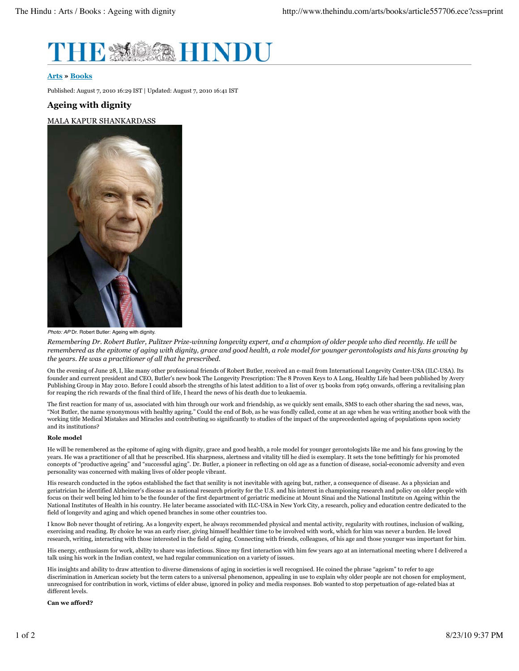

### **Arts » Books**

Published: August 7, 2010 16:29 IST | Updated: August 7, 2010 16:41 IST

# **Ageing with dignity**

## MALA KAPUR SHANKARDASS



Photo: AP Dr. Robert Butler: Ageing with dignity.

Remembering Dr. Robert Butler, Pulitzer Prize-winning longevity expert, and a champion of older people who died recently. He will be remembered as the epitome of aging with dignity, grace and good health, a role model for younger gerontologists and his fans growing by *the years. He was a practitioner of all that he prescribed.*

On the evening of June 28, I, like many other professional friends of Robert Butler, received an e-mail from International Longevity Center-USA (ILC-USA). Its founder and current president and CEO, Butler's new book The Longevity Prescription: The 8 Proven Keys to A Long, Healthy Life had been published by Avery Publishing Group in May 2010. Before I could absorb the strengths of his latest addition to a list of over 15 books from 1963 onwards, offering a revitalising plan for reaping the rich rewards of the final third of life, I heard the news of his death due to leukaemia.

The first reaction for many of us, associated with him through our work and friendship, as we quickly sent emails, SMS to each other sharing the sad news, was, "Not Butler, the name synonymous with healthy ageing." Could the end of Bob, as he was fondly called, come at an age when he was writing another book with the working title Medical Mistakes and Miracles and contributing so significantly to studies of the impact of the unprecedented ageing of populations upon society and its institutions?

#### **Role model**

He will be remembered as the epitome of aging with dignity, grace and good health, a role model for younger gerontologists like me and his fans growing by the years. He was a practitioner of all that he prescribed. His sharpness, alertness and vitality till he died is exemplary. It sets the tone befittingly for his promoted concepts of "productive ageing" and "successful aging". Dr. Butler, a pioneer in reflecting on old age as a function of disease, social-economic adversity and even personality was concerned with making lives of older people vibrant.

His research conducted in the 1960s established the fact that senility is not inevitable with ageing but, rather, a consequence of disease. As a physician and geriatrician he identified Alzheimer's disease as a national research priority for the U.S. and his interest in championing research and policy on older people with focus on their well being led him to be the founder of the first department of geriatric medicine at Mount Sinai and the National Institute on Ageing within the National Institutes of Health in his country. He later became associated with ILC-USA in New York City, a research, policy and education centre dedicated to the field of longevity and aging and which opened branches in some other countries too.

I know Bob never thought of retiring. As a longevity expert, he always recommended physical and mental activity, regularity with routines, inclusion of walking, exercising and reading. By choice he was an early riser, giving himself healthier time to be involved with work, which for him was never a burden. He loved research, writing, interacting with those interested in the field of aging. Connecting with friends, colleagues, of his age and those younger was important for him.

His energy, enthusiasm for work, ability to share was infectious. Since my first interaction with him few years ago at an international meeting where I delivered a talk using his work in the Indian context, we had regular communication on a variety of issues.

His insights and ability to draw attention to diverse dimensions of aging in societies is well recognised. He coined the phrase "ageism" to refer to age discrimination in American society but the term caters to a universal phenomenon, appealing in use to explain why older people are not chosen for employment, unrecognised for contribution in work, victims of elder abuse, ignored in policy and media responses. Bob wanted to stop perpetuation of age-related bias at different levels.

#### **Can we afford?**